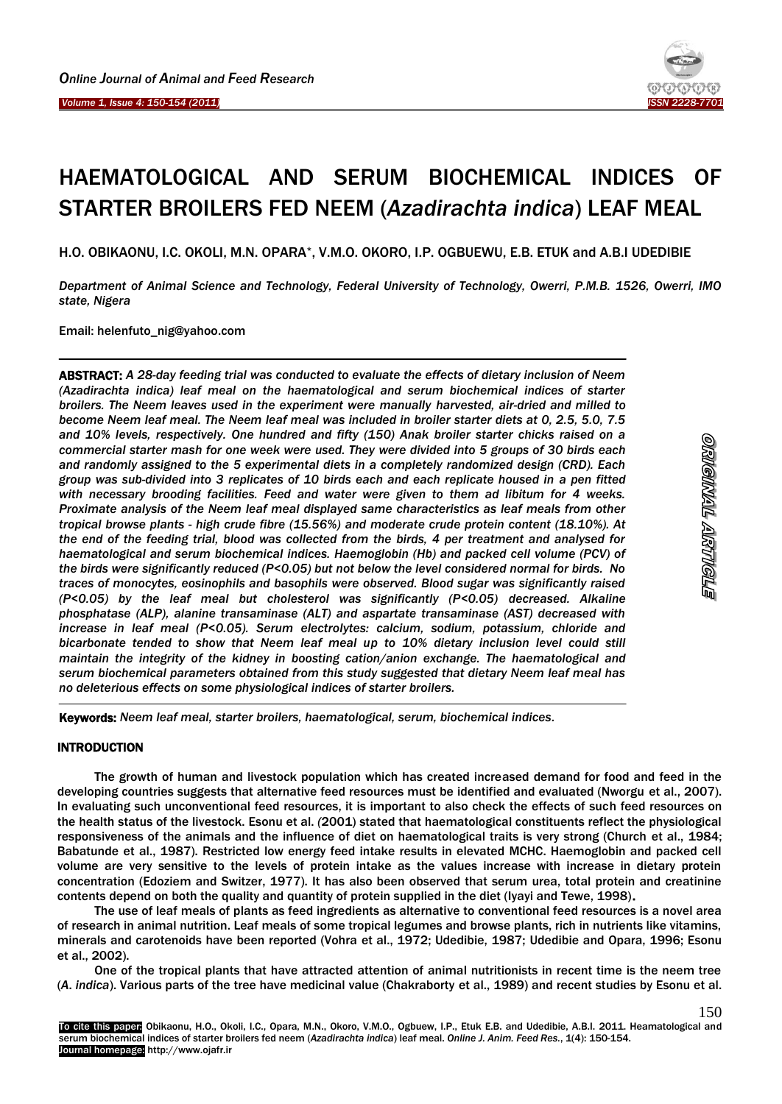Ĩ



# HAEMATOLOGICAL AND SERUM BIOCHEMICAL INDICES OF STARTER BROILERS FED NEEM (*Azadirachta indica*) LEAF MEAL

H.O. OBIKAONU, I.C. OKOLI, M.N. OPARA\*, V.M.O. OKORO, I.P. OGBUEWU, E.B. ETUK and A.B.I UDEDIBIE

*Department of Animal Science and Technology, Federal University of Technology, Owerri, P.M.B. 1526, Owerri, IMO state, Nigera*

Email: helenfuto\_nig@yahoo.com

ABSTRACT: *A 28-day feeding trial was conducted to evaluate the effects of dietary inclusion of Neem (Azadirachta indica) leaf meal on the haematological and serum biochemical indices of starter broilers. The Neem leaves used in the experiment were manually harvested, air-dried and milled to become Neem leaf meal. The Neem leaf meal was included in broiler starter diets at 0, 2.5, 5.0, 7.5 and 10% levels, respectively. One hundred and fifty (150) Anak broiler starter chicks raised on a commercial starter mash for one week were used. They were divided into 5 groups of 30 birds each and randomly assigned to the 5 experimental diets in a completely randomized design (CRD). Each group was sub-divided into 3 replicates of 10 birds each and each replicate housed in a pen fitted with necessary brooding facilities. Feed and water were given to them ad libitum for 4 weeks. Proximate analysis of the Neem leaf meal displayed same characteristics as leaf meals from other tropical browse plants - high crude fibre (15.56%) and moderate crude protein content (18.10%). At the end of the feeding trial, blood was collected from the birds, 4 per treatment and analysed for haematological and serum biochemical indices. Haemoglobin (Hb) and packed cell volume (PCV) of the birds were significantly reduced (P<0.05) but not below the level considered normal for birds. No traces of monocytes, eosinophils and basophils were observed. Blood sugar was significantly raised (P<0.05) by the leaf meal but cholesterol was significantly (P<0.05) decreased. Alkaline phosphatase (ALP), alanine transaminase (ALT) and aspartate transaminase (AST) decreased with increase in leaf meal (P<0.05). Serum electrolytes: calcium, sodium, potassium, chloride and bicarbonate tended to show that Neem leaf meal up to 10% dietary inclusion level could still maintain the integrity of the kidney in boosting cation/anion exchange. The haematological and serum biochemical parameters obtained from this study suggested that dietary Neem leaf meal has no deleterious effects on some physiological indices of starter broilers.* 

Keywords: *Neem leaf meal, starter broilers, haematological, serum, biochemical indices.*

## INTRODUCTION

 $\overline{a}$ 

The growth of human and livestock population which has created increased demand for food and feed in the developing countries suggests that alternative feed resources must be identified and evaluated (Nworgu et al., 2007). In evaluating such unconventional feed resources, it is important to also check the effects of such feed resources on the health status of the livestock. Esonu et al. *(*2001) stated that haematological constituents reflect the physiological responsiveness of the animals and the influence of diet on haematological traits is very strong (Church et al., 1984; Babatunde et al., 1987). Restricted low energy feed intake results in elevated MCHC. Haemoglobin and packed cell volume are very sensitive to the levels of protein intake as the values increase with increase in dietary protein concentration (Edoziem and Switzer, 1977). It has also been observed that serum urea, total protein and creatinine contents depend on both the quality and quantity of protein supplied in the diet (Iyayi and Tewe, 1998).

The use of leaf meals of plants as feed ingredients as alternative to conventional feed resources is a novel area of research in animal nutrition. Leaf meals of some tropical legumes and browse plants, rich in nutrients like vitamins, minerals and carotenoids have been reported (Vohra et al., 1972; Udedibie, 1987; Udedibie and Opara, 1996; Esonu et al., 2002).

One of the tropical plants that have attracted attention of animal nutritionists in recent time is the neem tree (*A*. *indica*). Various parts of the tree have medicinal value (Chakraborty et al., 1989) and recent studies by Esonu et al.

150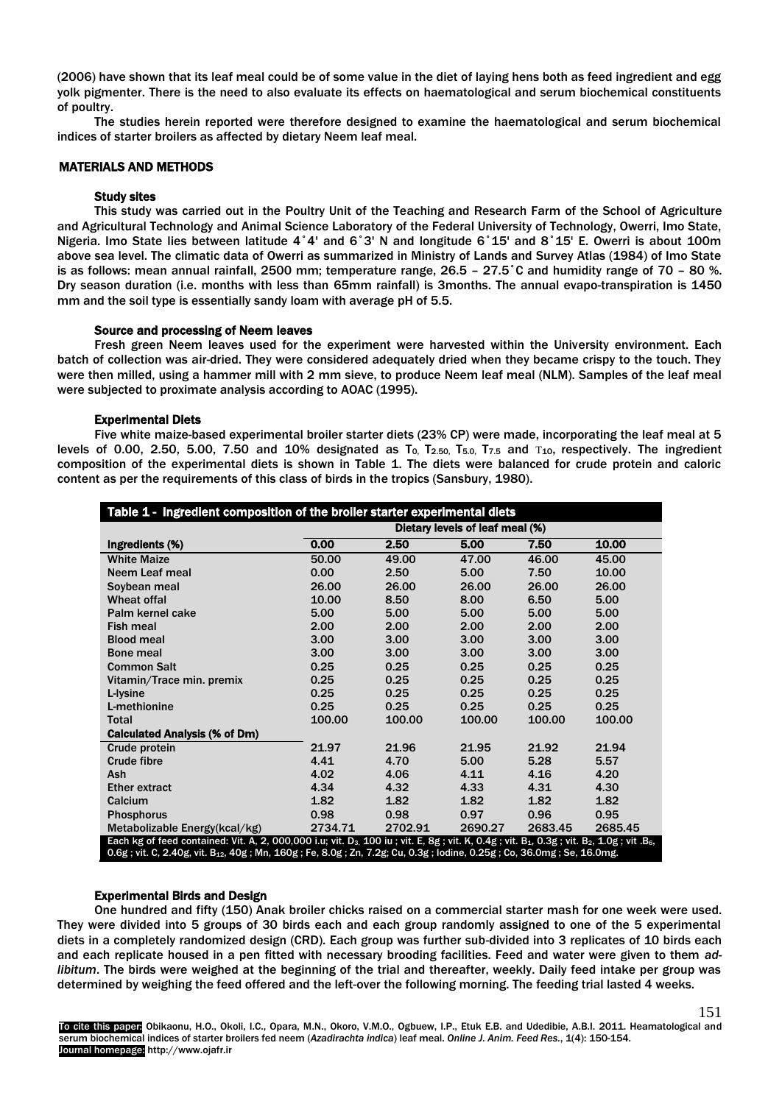(2006) have shown that its leaf meal could be of some value in the diet of laying hens both as feed ingredient and egg yolk pigmenter. There is the need to also evaluate its effects on haematological and serum biochemical constituents of poultry.

The studies herein reported were therefore designed to examine the haematological and serum biochemical indices of starter broilers as affected by dietary Neem leaf meal.

# MATERIALS AND METHODS

## Study sites

This study was carried out in the Poultry Unit of the Teaching and Research Farm of the School of Agriculture and Agricultural Technology and Animal Science Laboratory of the Federal University of Technology, Owerri, Imo State, Nigeria. Imo State lies between latitude 4˚4' and 6˚3' N and longitude 6˚15' and 8˚15' E. Owerri is about 100m above sea level. The climatic data of Owerri as summarized in Ministry of Lands and Survey Atlas (1984) of Imo State is as follows: mean annual rainfall, 2500 mm; temperature range, 26.5 – 27.5˚C and humidity range of 70 – 80 %. Dry season duration (i.e. months with less than 65mm rainfall) is 3months. The annual evapo-transpiration is 1450 mm and the soil type is essentially sandy loam with average pH of 5.5.

## Source and processing of Neem leaves

Fresh green Neem leaves used for the experiment were harvested within the University environment. Each batch of collection was air-dried. They were considered adequately dried when they became crispy to the touch. They were then milled, using a hammer mill with 2 mm sieve, to produce Neem leaf meal (NLM). Samples of the leaf meal were subjected to proximate analysis according to AOAC (1995).

## Experimental Diets

Five white maize-based experimental broiler starter diets (23% CP) were made, incorporating the leaf meal at 5 levels of 0.00, 2.50, 5.00, 7.50 and 10% designated as  $T_0$ ,  $T_{2.50}$ ,  $T_{5.0}$ ,  $T_{7.5}$  and  $T_{10}$ , respectively. The ingredient composition of the experimental diets is shown in Table 1. The diets were balanced for crude protein and caloric content as per the requirements of this class of birds in the tropics (Sansbury, 1980).

| Table 1 - Ingredient composition of the broiler starter experimental diets                                                                                                               |                                 |         |         |         |         |  |  |
|------------------------------------------------------------------------------------------------------------------------------------------------------------------------------------------|---------------------------------|---------|---------|---------|---------|--|--|
|                                                                                                                                                                                          | Dietary levels of leaf meal (%) |         |         |         |         |  |  |
| Ingredients (%)                                                                                                                                                                          | 0.00                            | 2.50    | 5.00    | 7.50    | 10.00   |  |  |
| <b>White Maize</b>                                                                                                                                                                       | 50.00                           | 49.00   | 47.00   | 46.00   | 45.00   |  |  |
| Neem Leaf meal                                                                                                                                                                           | 0.00                            | 2.50    | 5.00    | 7.50    | 10.00   |  |  |
| Soybean meal                                                                                                                                                                             | 26.00                           | 26.00   | 26.00   | 26.00   | 26.00   |  |  |
| <b>Wheat offal</b>                                                                                                                                                                       | 10.00                           | 8.50    | 8.00    | 6.50    | 5.00    |  |  |
| Palm kernel cake                                                                                                                                                                         | 5.00                            | 5.00    | 5.00    | 5.00    | 5.00    |  |  |
| <b>Fish meal</b>                                                                                                                                                                         | 2.00                            | 2.00    | 2.00    | 2.00    | 2.00    |  |  |
| <b>Blood meal</b>                                                                                                                                                                        | 3.00                            | 3.00    | 3.00    | 3.00    | 3.00    |  |  |
| <b>Bone meal</b>                                                                                                                                                                         | 3.00                            | 3.00    | 3.00    | 3.00    | 3.00    |  |  |
| <b>Common Salt</b>                                                                                                                                                                       | 0.25                            | 0.25    | 0.25    | 0.25    | 0.25    |  |  |
| Vitamin/Trace min. premix                                                                                                                                                                | 0.25                            | 0.25    | 0.25    | 0.25    | 0.25    |  |  |
| L-Ivsine                                                                                                                                                                                 | 0.25                            | 0.25    | 0.25    | 0.25    | 0.25    |  |  |
| L-methionine                                                                                                                                                                             | 0.25                            | 0.25    | 0.25    | 0.25    | 0.25    |  |  |
| <b>Total</b>                                                                                                                                                                             | 100.00                          | 100.00  | 100.00  | 100.00  | 100.00  |  |  |
| <b>Calculated Analysis (% of Dm)</b>                                                                                                                                                     |                                 |         |         |         |         |  |  |
| Crude protein                                                                                                                                                                            | 21.97                           | 21.96   | 21.95   | 21.92   | 21.94   |  |  |
| Crude fibre                                                                                                                                                                              | 4.41                            | 4.70    | 5.00    | 5.28    | 5.57    |  |  |
| Ash                                                                                                                                                                                      | 4.02                            | 4.06    | 4.11    | 4.16    | 4.20    |  |  |
| <b>Ether extract</b>                                                                                                                                                                     | 4.34                            | 4.32    | 4.33    | 4.31    | 4.30    |  |  |
| Calcium                                                                                                                                                                                  | 1.82                            | 1.82    | 1.82    | 1.82    | 1.82    |  |  |
| <b>Phosphorus</b>                                                                                                                                                                        | 0.98                            | 0.98    | 0.97    | 0.96    | 0.95    |  |  |
| Metabolizable Energy(kcal/kg)                                                                                                                                                            | 2734.71                         | 2702.91 | 2690.27 | 2683.45 | 2685.45 |  |  |
| Each kg of feed contained: Vit. A, 2, 000,000 i.u; vit. D <sub>3</sub> , 100 iu; vit. E, 8g; vit. K, 0.4g; vit. B <sub>1</sub> , 0.3g; vit. B <sub>2</sub> , 1.0g; vit. B <sub>6</sub> , |                                 |         |         |         |         |  |  |
| 0.6g; vit. C, 2.40g, vit. B <sub>12</sub> , 40g; Mn, 160g; Fe, 8.0g; Zn, 7.2g; Cu, 0.3g; Iodine, 0.25g; Co, 36.0mg; Se, 16.0mg.                                                          |                                 |         |         |         |         |  |  |

# Experimental Birds and Design

One hundred and fifty (150) Anak broiler chicks raised on a commercial starter mash for one week were used. They were divided into 5 groups of 30 birds each and each group randomly assigned to one of the 5 experimental diets in a completely randomized design (CRD). Each group was further sub-divided into 3 replicates of 10 birds each and each replicate housed in a pen fitted with necessary brooding facilities. Feed and water were given to them *adlibitum*. The birds were weighed at the beginning of the trial and thereafter, weekly. Daily feed intake per group was determined by weighing the feed offered and the left-over the following morning. The feeding trial lasted 4 weeks.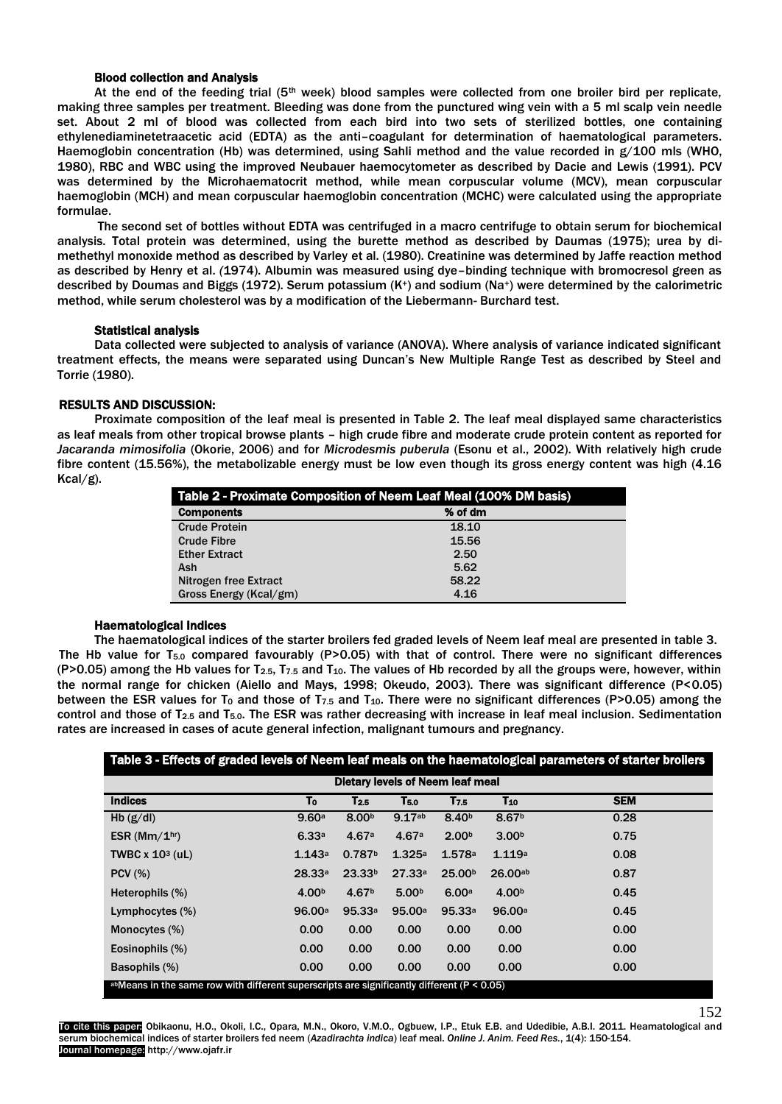# Blood collection and Analysis

At the end of the feeding trial (5<sup>th</sup> week) blood samples were collected from one broiler bird per replicate, making three samples per treatment. Bleeding was done from the punctured wing vein with a 5 ml scalp vein needle set. About 2 ml of blood was collected from each bird into two sets of sterilized bottles, one containing ethylenediaminetetraacetic acid (EDTA) as the anti–coagulant for determination of haematological parameters. Haemoglobin concentration (Hb) was determined, using Sahli method and the value recorded in g/100 mls (WHO, 1980), RBC and WBC using the improved Neubauer haemocytometer as described by Dacie and Lewis (1991). PCV was determined by the Microhaematocrit method, while mean corpuscular volume (MCV), mean corpuscular haemoglobin (MCH) and mean corpuscular haemoglobin concentration (MCHC) were calculated using the appropriate formulae.

The second set of bottles without EDTA was centrifuged in a macro centrifuge to obtain serum for biochemical analysis. Total protein was determined, using the burette method as described by Daumas (1975); urea by dimethethyl monoxide method as described by Varley et al. (1980). Creatinine was determined by Jaffe reaction method as described by Henry et al. *(*1974). Albumin was measured using dye–binding technique with bromocresol green as described by Doumas and Biggs (1972). Serum potassium (K<sup>+</sup>) and sodium (Na<sup>+</sup>) were determined by the calorimetric method, while serum cholesterol was by a modification of the Liebermann- Burchard test.

## Statistical analysis

Data collected were subjected to analysis of variance (ANOVA). Where analysis of variance indicated significant treatment effects, the means were separated using Duncan's New Multiple Range Test as described by Steel and Torrie (1980).

# RESULTS AND DISCUSSION:

Proximate composition of the leaf meal is presented in Table 2. The leaf meal displayed same characteristics as leaf meals from other tropical browse plants – high crude fibre and moderate crude protein content as reported for *Jacaranda mimosifolia* (Okorie, 2006) and for *Microdesmis puberula* (Esonu et al., 2002). With relatively high crude fibre content (15.56%), the metabolizable energy must be low even though its gross energy content was high (4.16 Kcal/g).

| Table 2 - Proximate Composition of Neem Leaf Meal (100% DM basis) |         |  |  |  |  |  |
|-------------------------------------------------------------------|---------|--|--|--|--|--|
| <b>Components</b>                                                 | % of dm |  |  |  |  |  |
| <b>Crude Protein</b>                                              | 18.10   |  |  |  |  |  |
| <b>Crude Fibre</b>                                                | 15.56   |  |  |  |  |  |
| <b>Ether Extract</b>                                              | 2.50    |  |  |  |  |  |
| Ash                                                               | 5.62    |  |  |  |  |  |
| Nitrogen free Extract                                             | 58.22   |  |  |  |  |  |
| Gross Energy (Kcal/gm)                                            | 4.16    |  |  |  |  |  |

## Haematological Indices

The haematological indices of the starter broilers fed graded levels of Neem leaf meal are presented in table 3. The Hb value for T5.0 compared favourably (P>0.05) with that of control. There were no significant differences  $(P>0.05)$  among the Hb values for T<sub>2.5</sub>, T<sub>7.5</sub> and T<sub>10</sub>. The values of Hb recorded by all the groups were, however, within the normal range for chicken (Aiello and Mays, 1998; Okeudo, 2003). There was significant difference (P<0.05) between the ESR values for T<sub>0</sub> and those of T<sub>7.5</sub> and T<sub>10</sub>. There were no significant differences (P>0.05) among the control and those of  $T_{2.5}$  and  $T_{5.0}$ . The ESR was rather decreasing with increase in leaf meal inclusion. Sedimentation rates are increased in cases of acute general infection, malignant tumours and pregnancy.

| Table 3 - Effects of graded levels of Neem leaf meals on the haematological parameters of starter broilers |                   |                    |                   |                    |                   |            |  |  |
|------------------------------------------------------------------------------------------------------------|-------------------|--------------------|-------------------|--------------------|-------------------|------------|--|--|
| <b>Dietary levels of Neem leaf meal</b>                                                                    |                   |                    |                   |                    |                   |            |  |  |
| <b>Indices</b>                                                                                             | To                | $T_{2.5}$          | T <sub>5.0</sub>  | T <sub>7.5</sub>   | T <sub>10</sub>   | <b>SEM</b> |  |  |
| Hb $(g/d)$                                                                                                 | 9.60a             | 8.00 <sup>b</sup>  | 9.17ab            | 8.40 <sup>b</sup>  | 8.67 <sup>b</sup> | 0.28       |  |  |
| ESR ( $Mm/1hr$ )                                                                                           | 6.33a             | 4.67a              | 4.67a             | 2.00 <sup>b</sup>  | 3.00 <sup>b</sup> | 0.75       |  |  |
| TWBC $x$ 10 <sup>3</sup> (uL)                                                                              | 1.143a            | 0.787 <sup>b</sup> | 1.325a            | 1.578a             | 1.119a            | 0.08       |  |  |
| $PCV$ (%)                                                                                                  | 28.33a            | 23.33 <sup>b</sup> | 27.33a            | 25.00 <sup>b</sup> | 26.00ab           | 0.87       |  |  |
| Heterophils (%)                                                                                            | 4.00 <sup>b</sup> | 4.67 <sup>b</sup>  | 5.00 <sub>b</sub> | 6.00a              | 4.00 <sup>b</sup> | 0.45       |  |  |
| Lymphocytes (%)                                                                                            | 96.00a            | 95.33a             | 95.00a            | 95.33a             | 96.00a            | 0.45       |  |  |
| Monocytes (%)                                                                                              | 0.00              | 0.00               | 0.00              | 0.00               | 0.00              | 0.00       |  |  |
| Eosinophils (%)                                                                                            | 0.00              | 0.00               | 0.00              | 0.00               | 0.00              | 0.00       |  |  |
| Basophils (%)                                                                                              | 0.00              | 0.00               | 0.00              | 0.00               | 0.00              | 0.00       |  |  |
| abMeans in the same row with different superscripts are significantly different ( $P < 0.05$ )             |                   |                    |                   |                    |                   |            |  |  |

To cite this paper: Obikaonu, H.O., Okoli, I.C., Opara, M.N., Okoro, V.M.O., Ogbuew, I.P., Etuk E.B. and Udedibie, A.B.I. 2011. Heamatological and serum biochemical indices of starter broilers fed neem (*Azadirachta indica*) leaf meal. *Online J. Anim. Feed Res.*, 1(4): 150-154. Journal homepage: http://www.ojafr.ir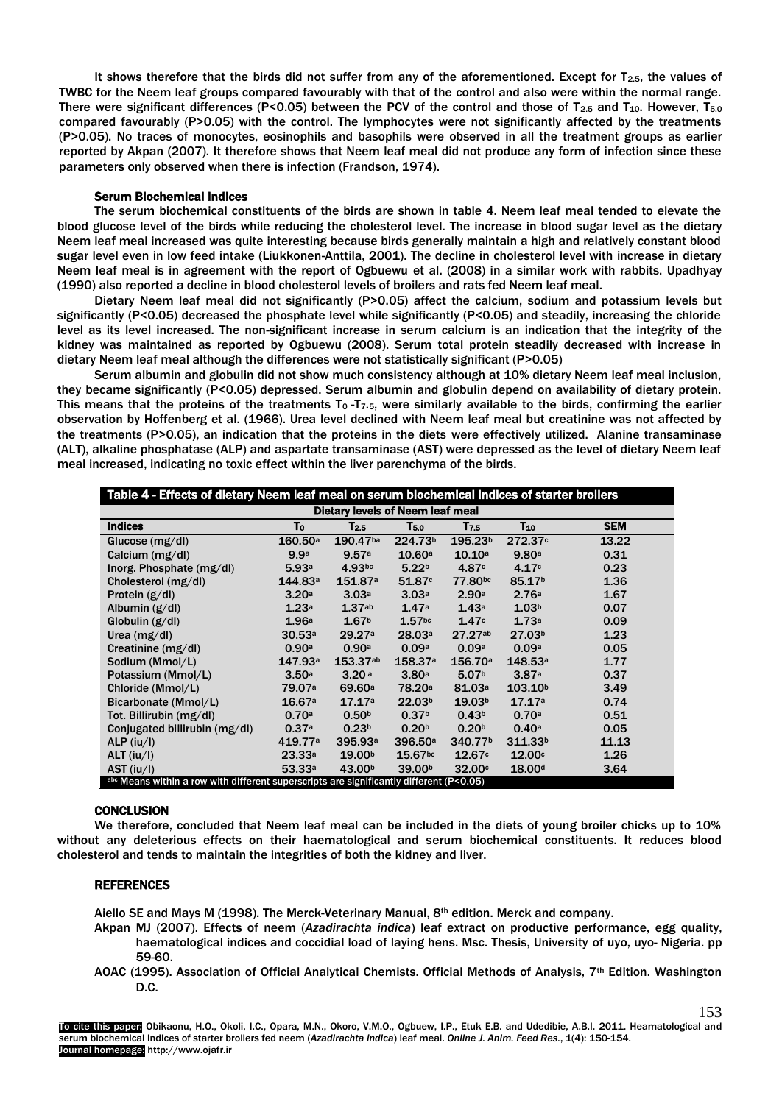It shows therefore that the birds did not suffer from any of the aforementioned. Except for T<sub>2.5</sub>, the values of TWBC for the Neem leaf groups compared favourably with that of the control and also were within the normal range. There were significant differences (P<0.05) between the PCV of the control and those of  $T_{2.5}$  and  $T_{10}$ . However,  $T_{5.0}$ compared favourably (P>0.05) with the control. The lymphocytes were not significantly affected by the treatments (P>0.05). No traces of monocytes, eosinophils and basophils were observed in all the treatment groups as earlier reported by Akpan (2007). It therefore shows that Neem leaf meal did not produce any form of infection since these parameters only observed when there is infection (Frandson, 1974).

#### Serum Biochemical Indices

The serum biochemical constituents of the birds are shown in table 4. Neem leaf meal tended to elevate the blood glucose level of the birds while reducing the cholesterol level. The increase in blood sugar level as the dietary Neem leaf meal increased was quite interesting because birds generally maintain a high and relatively constant blood sugar level even in low feed intake (Liukkonen-Anttila, 2001). The decline in cholesterol level with increase in dietary Neem leaf meal is in agreement with the report of Ogbuewu et al. (2008) in a similar work with rabbits. Upadhyay (1990) also reported a decline in blood cholesterol levels of broilers and rats fed Neem leaf meal.

Dietary Neem leaf meal did not significantly (P>0.05) affect the calcium, sodium and potassium levels but significantly (P<0.05) decreased the phosphate level while significantly (P<0.05) and steadily, increasing the chloride level as its level increased. The non-significant increase in serum calcium is an indication that the integrity of the kidney was maintained as reported by Ogbuewu (2008). Serum total protein steadily decreased with increase in dietary Neem leaf meal although the differences were not statistically significant (P>0.05)

Serum albumin and globulin did not show much consistency although at 10% dietary Neem leaf meal inclusion, they became significantly (P<0.05) depressed. Serum albumin and globulin depend on availability of dietary protein. This means that the proteins of the treatments T<sub>0</sub> -T<sub>7</sub>.5, were similarly available to the birds, confirming the earlier observation by Hoffenberg et al. (1966). Urea level declined with Neem leaf meal but creatinine was not affected by the treatments (P>0.05), an indication that the proteins in the diets were effectively utilized. Alanine transaminase (ALT), alkaline phosphatase (ALP) and aspartate transaminase (AST) were depressed as the level of dietary Neem leaf meal increased, indicating no toxic effect within the liver parenchyma of the birds.

| Table 4 - Effects of dietary Neem leaf meal on serum biochemical indices of starter broilers |                    |                     |                       |                     |                     |            |  |
|----------------------------------------------------------------------------------------------|--------------------|---------------------|-----------------------|---------------------|---------------------|------------|--|
| <b>Dietary levels of Neem leaf meal</b>                                                      |                    |                     |                       |                     |                     |            |  |
| <b>Indices</b>                                                                               | To                 | $T_{2.5}$           | T5.0                  | T7.5                | T <sub>10</sub>     | <b>SEM</b> |  |
| Glucose $(mg/dl)$                                                                            | 160.50a            | 190.47ba            | 224.73 <sup>b</sup>   | 195.23 <sup>b</sup> | 272.37c             | 13.22      |  |
| Calcium (mg/dl)                                                                              | 9.9a               | 9.57a               | 10.60a                | 10.10a              | 9.80a               | 0.31       |  |
| Inorg. Phosphate (mg/dl)                                                                     | 5.93a              | 4.93 <sub>bc</sub>  | 5.22 <sub>b</sub>     | 4.87 <sup>c</sup>   | 4.17c               | 0.23       |  |
| Cholesterol (mg/dl)                                                                          | 144.83a            | 151.87 <sup>a</sup> | 51.87c                | 77.80bc             | 85.17 <sup>b</sup>  | 1.36       |  |
| Protein $(g/d)$                                                                              | 3.20a              | 3.03a               | 3.03a                 | 2.90a               | 2.76a               | 1.67       |  |
| Albumin $(g/d)$                                                                              | 1.23a              | 1.37 <sub>ab</sub>  | 1.47a                 | 1.43a               | 1.03 <sup>b</sup>   | 0.07       |  |
| Globulin $(g/d)$                                                                             | 1.96a              | 1.67 <sup>b</sup>   | 1.57 <sub>bc</sub>    | 1.47c               | 1.73a               | 0.09       |  |
| Urea $(mg/dl)$                                                                               | 30.53a             | 29.27a              | 28.03a                | 27.27ab             | 27.03 <sup>b</sup>  | 1.23       |  |
| Creatinine (mg/dl)                                                                           | 0.90a              | 0.90a               | 0.09a                 | 0.09a               | 0.09a               | 0.05       |  |
| Sodium (Mmol/L)                                                                              | 147.93a            | 153.37ab            | 158.37a               | 156.70a             | 148.53a             | 1.77       |  |
| Potassium (Mmol/L)                                                                           | 3.50a              | 3.20a               | 3.80a                 | 5.07 <sub>b</sub>   | 3.87a               | 0.37       |  |
| Chloride (Mmol/L)                                                                            | 79.07 <sup>a</sup> | 69.60 <sup>a</sup>  | 78.20 <sup>a</sup>    | 81.03a              | 103.10 <sup>b</sup> | 3.49       |  |
| Bicarbonate (Mmol/L)                                                                         | 16.67a             | 17.17a              | 22.03 <sup>b</sup>    | 19.03 <sup>b</sup>  | 17.17a              | 0.74       |  |
| Tot. Billirubin (mg/dl)                                                                      | 0.70a              | 0.50 <sup>b</sup>   | 0.37 <sup>b</sup>     | 0.43 <sup>b</sup>   | 0.70a               | 0.51       |  |
| Conjugated billirubin (mg/dl)                                                                | 0.37a              | 0.23 <sup>b</sup>   | 0.20 <sup>b</sup>     | 0.20 <sup>b</sup>   | 0.40a               | 0.05       |  |
| $ALP$ (iu/l)                                                                                 | 419.77a            | 395.93 <sup>a</sup> | 396.50 <sup>a</sup>   | 340.77b             | 311.33 <sup>b</sup> | 11.13      |  |
| $ALT$ (iu/l)                                                                                 | 23.33a             | 19.00 <sup>b</sup>  | $15.67$ <sub>bc</sub> | 12.67c              | 12.00c              | 1.26       |  |
| $AST$ (iu/l)                                                                                 | 53.33a             | 43.00 <sup>b</sup>  | 39.00 <sup>b</sup>    | 32.00 <sup>c</sup>  | 18.00 <sup>d</sup>  | 3.64       |  |
| abc Means within a row with different superscripts are significantly different (P<0.05)      |                    |                     |                       |                     |                     |            |  |

## **CONCLUSION**

We therefore, concluded that Neem leaf meal can be included in the diets of young broiler chicks up to 10% without any deleterious effects on their haematological and serum biochemical constituents. It reduces blood cholesterol and tends to maintain the integrities of both the kidney and liver.

# **REFERENCES**

Aiello SE and Mays M (1998). The Merck-Veterinary Manual, 8th edition. Merck and company.

- Akpan MJ (2007). Effects of neem (*Azadirachta indica*) leaf extract on productive performance, egg quality, haematological indices and coccidial load of laying hens. Msc. Thesis, University of uyo, uyo- Nigeria. pp 59-60.
- AOAC (1995). Association of Official Analytical Chemists. Official Methods of Analysis, 7<sup>th</sup> Edition. Washington D.C.

153